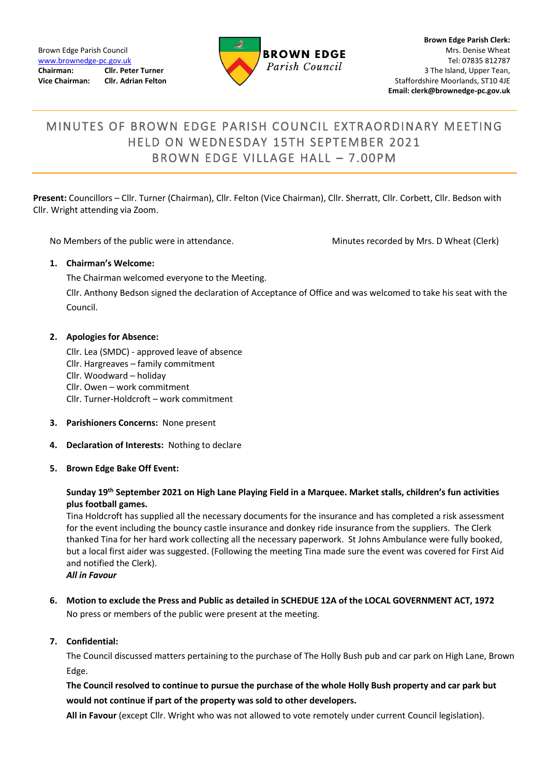

# MINUTES OF BROWN EDGE PARISH COUNCIL EXTRAORDINARY MEETING HELD ON WEDNESDAY 15TH SEPTEMBER 2021 BROWN EDGE VILLAGE HALL - 7.00PM

**Present:** Councillors – Cllr. Turner (Chairman), Cllr. Felton (Vice Chairman), Cllr. Sherratt, Cllr. Corbett, Cllr. Bedson with Cllr. Wright attending via Zoom.

No Members of the public were in attendance. Minutes recorded by Mrs. D Wheat (Clerk)

#### **1. Chairman's Welcome:**

The Chairman welcomed everyone to the Meeting.

Cllr. Anthony Bedson signed the declaration of Acceptance of Office and was welcomed to take his seat with the Council.

### **2. Apologies for Absence:**

Cllr. Lea (SMDC) - approved leave of absence Cllr. Hargreaves – family commitment Cllr. Woodward – holiday Cllr. Owen – work commitment Cllr. Turner-Holdcroft – work commitment

- **3. Parishioners Concerns:** None present
- **4. Declaration of Interests:** Nothing to declare
- **5. Brown Edge Bake Off Event:**

## **Sunday 19th September 2021 on High Lane Playing Field in a Marquee. Market stalls, children's fun activities plus football games.**

Tina Holdcroft has supplied all the necessary documents for the insurance and has completed a risk assessment for the event including the bouncy castle insurance and donkey ride insurance from the suppliers. The Clerk thanked Tina for her hard work collecting all the necessary paperwork. St Johns Ambulance were fully booked, but a local first aider was suggested. (Following the meeting Tina made sure the event was covered for First Aid and notified the Clerk).

*All in Favour*

**6. Motion to exclude the Press and Public as detailed in SCHEDUE 12A of the LOCAL GOVERNMENT ACT, 1972** No press or members of the public were present at the meeting.

#### **7. Confidential:**

The Council discussed matters pertaining to the purchase of The Holly Bush pub and car park on High Lane, Brown Edge.

# **The Council resolved to continue to pursue the purchase of the whole Holly Bush property and car park but would not continue if part of the property was sold to other developers.**

**All in Favour** (except Cllr. Wright who was not allowed to vote remotely under current Council legislation).